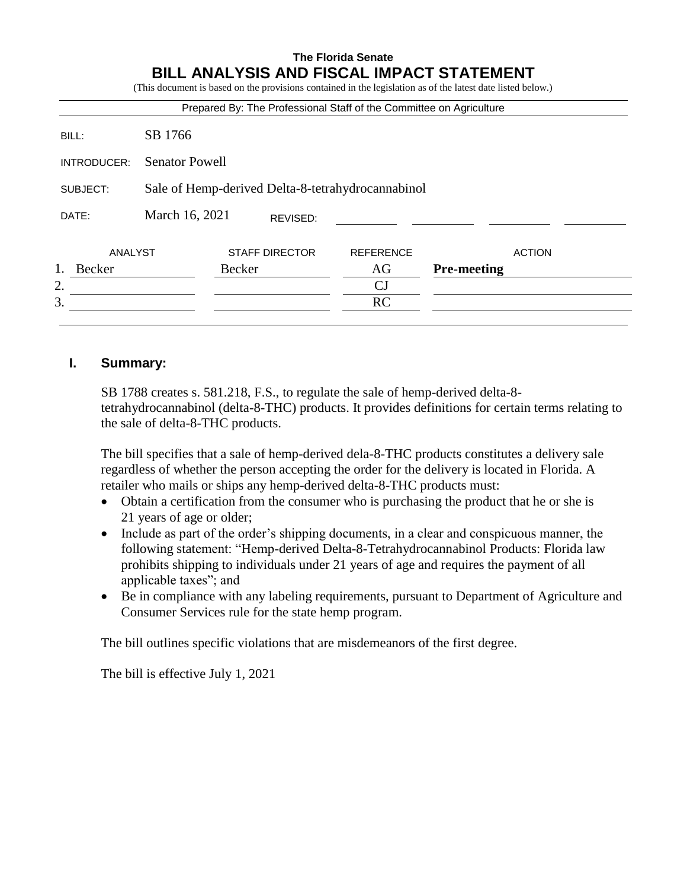#### **The Florida Senate BILL ANALYSIS AND FISCAL IMPACT STATEMENT** (This document is based on the provisions contained in the legislation as of the latest date listed below.)

|             |                                                   |        |                       | Prepared By: The Professional Staff of the Committee on Agriculture |                    |               |
|-------------|---------------------------------------------------|--------|-----------------------|---------------------------------------------------------------------|--------------------|---------------|
| BILL:       | SB 1766                                           |        |                       |                                                                     |                    |               |
| INTRODUCER: | <b>Senator Powell</b>                             |        |                       |                                                                     |                    |               |
| SUBJECT:    | Sale of Hemp-derived Delta-8-tetrahydrocannabinol |        |                       |                                                                     |                    |               |
| DATE:       | March 16, 2021                                    |        | REVISED:              |                                                                     |                    |               |
| ANALYST     |                                                   |        | <b>STAFF DIRECTOR</b> | <b>REFERENCE</b>                                                    |                    | <b>ACTION</b> |
| Becker      |                                                   | Becker |                       | AG                                                                  | <b>Pre-meeting</b> |               |
| 2.          |                                                   |        |                       | CJ                                                                  |                    |               |
| 3.          |                                                   |        |                       | RC                                                                  |                    |               |

### **I. Summary:**

SB 1788 creates s. 581.218, F.S., to regulate the sale of hemp-derived delta-8 tetrahydrocannabinol (delta-8-THC) products. It provides definitions for certain terms relating to the sale of delta-8-THC products.

The bill specifies that a sale of hemp-derived dela-8-THC products constitutes a delivery sale regardless of whether the person accepting the order for the delivery is located in Florida. A retailer who mails or ships any hemp-derived delta-8-THC products must:

- Obtain a certification from the consumer who is purchasing the product that he or she is 21 years of age or older;
- Include as part of the order's shipping documents, in a clear and conspicuous manner, the following statement: "Hemp-derived Delta-8-Tetrahydrocannabinol Products: Florida law prohibits shipping to individuals under 21 years of age and requires the payment of all applicable taxes"; and
- Be in compliance with any labeling requirements, pursuant to Department of Agriculture and Consumer Services rule for the state hemp program.

The bill outlines specific violations that are misdemeanors of the first degree.

The bill is effective July 1, 2021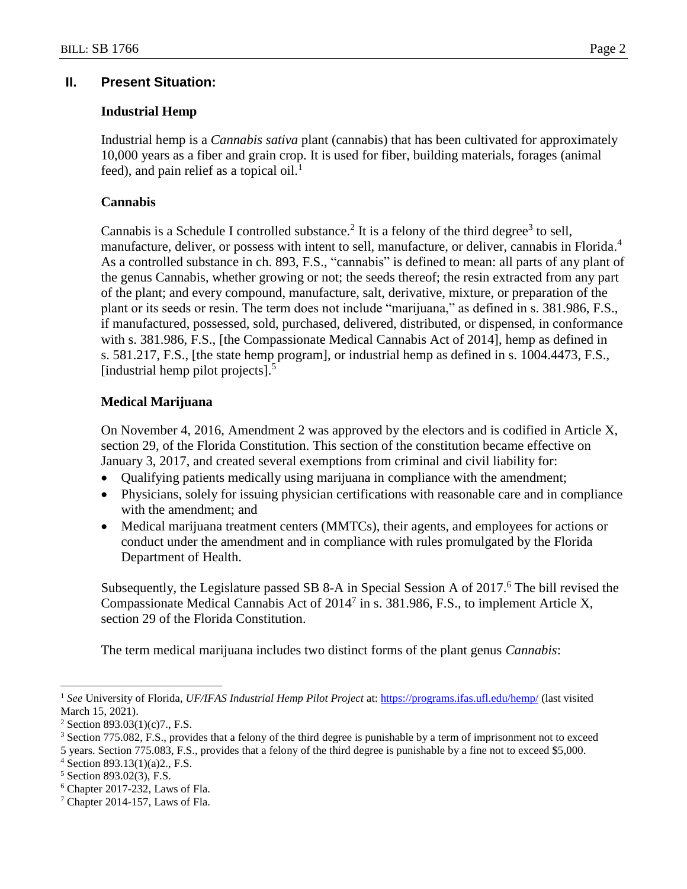### **II. Present Situation:**

### **Industrial Hemp**

Industrial hemp is a *Cannabis sativa* plant (cannabis) that has been cultivated for approximately 10,000 years as a fiber and grain crop. It is used for fiber, building materials, forages (animal feed), and pain relief as a topical oil.<sup>1</sup>

## **Cannabis**

Cannabis is a Schedule I controlled substance.<sup>2</sup> It is a felony of the third degree<sup>3</sup> to sell, manufacture, deliver, or possess with intent to sell, manufacture, or deliver, cannabis in Florida.<sup>4</sup> As a controlled substance in ch. 893, F.S., "cannabis" is defined to mean: all parts of any plant of the genus Cannabis, whether growing or not; the seeds thereof; the resin extracted from any part of the plant; and every compound, manufacture, salt, derivative, mixture, or preparation of the plant or its seeds or resin. The term does not include "marijuana," as defined in s. 381.986, F.S., if manufactured, possessed, sold, purchased, delivered, distributed, or dispensed, in conformance with s. 381.986, F.S., [the Compassionate Medical Cannabis Act of 2014], hemp as defined in s. 581.217, F.S., [the state hemp program], or industrial hemp as defined in s. 1004.4473, F.S., [industrial hemp pilot projects].<sup>5</sup>

### **Medical Marijuana**

On November 4, 2016, Amendment 2 was approved by the electors and is codified in Article X, section 29, of the Florida Constitution. This section of the constitution became effective on January 3, 2017, and created several exemptions from criminal and civil liability for:

- Qualifying patients medically using marijuana in compliance with the amendment;
- Physicians, solely for issuing physician certifications with reasonable care and in compliance with the amendment; and
- Medical marijuana treatment centers (MMTCs), their agents, and employees for actions or conduct under the amendment and in compliance with rules promulgated by the Florida Department of Health.

Subsequently, the Legislature passed SB 8-A in Special Session A of 2017.<sup>6</sup> The bill revised the Compassionate Medical Cannabis Act of  $2014<sup>7</sup>$  in s. 381.986, F.S., to implement Article X, section 29 of the Florida Constitution.

The term medical marijuana includes two distinct forms of the plant genus *Cannabis*:

 $\overline{a}$ <sup>1</sup> *See* University of Florida*, UF/IFAS Industrial Hemp Pilot Project* at:<https://programs.ifas.ufl.edu/hemp/> (last visited March 15, 2021).

<sup>&</sup>lt;sup>2</sup> Section 893.03(1)(c)7., F.S.

<sup>&</sup>lt;sup>3</sup> Section 775.082, F.S., provides that a felony of the third degree is punishable by a term of imprisonment not to exceed

<sup>5</sup> years. Section 775.083, F.S., provides that a felony of the third degree is punishable by a fine not to exceed \$5,000.

<sup>4</sup> Section 893.13(1)(a)2., F.S.

<sup>5</sup> Section 893.02(3), F.S.

 $6$  Chapter 2017-232, Laws of Fla.

<sup>7</sup> Chapter 2014-157, Laws of Fla.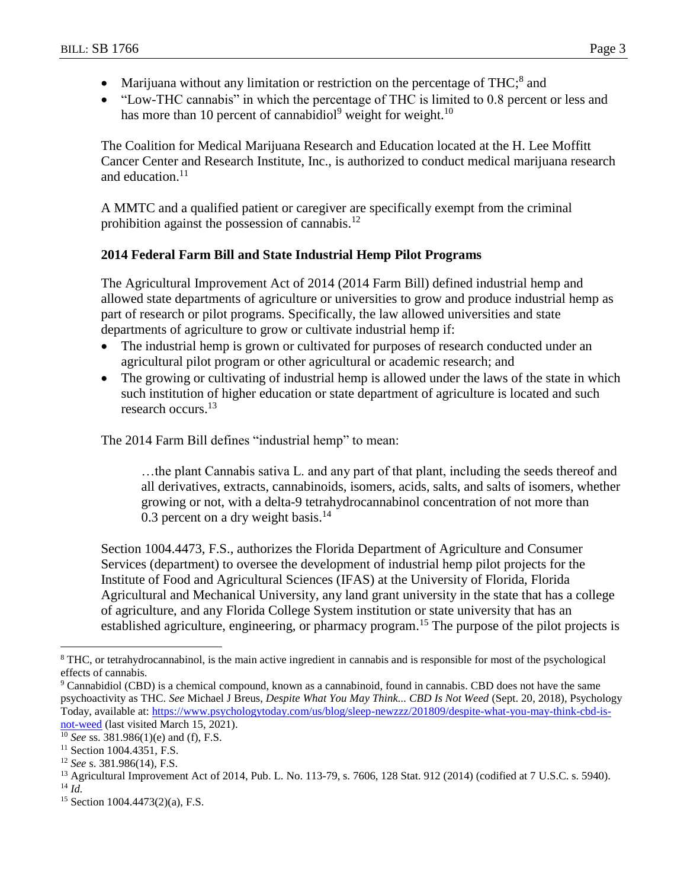- Marijuana without any limitation or restriction on the percentage of THC; $^8$  and
- "Low-THC cannabis" in which the percentage of THC is limited to 0.8 percent or less and has more than 10 percent of cannabidiol<sup>9</sup> weight for weight.<sup>10</sup>

The Coalition for Medical Marijuana Research and Education located at the H. Lee Moffitt Cancer Center and Research Institute, Inc., is authorized to conduct medical marijuana research and education. $11$ 

A MMTC and a qualified patient or caregiver are specifically exempt from the criminal prohibition against the possession of cannabis.<sup>12</sup>

# **2014 Federal Farm Bill and State Industrial Hemp Pilot Programs**

The Agricultural Improvement Act of 2014 (2014 Farm Bill) defined industrial hemp and allowed state departments of agriculture or universities to grow and produce industrial hemp as part of research or pilot programs. Specifically, the law allowed universities and state departments of agriculture to grow or cultivate industrial hemp if:

- The industrial hemp is grown or cultivated for purposes of research conducted under an agricultural pilot program or other agricultural or academic research; and
- The growing or cultivating of industrial hemp is allowed under the laws of the state in which such institution of higher education or state department of agriculture is located and such research occurs. 13

The 2014 Farm Bill defines "industrial hemp" to mean:

…the plant Cannabis sativa L. and any part of that plant, including the seeds thereof and all derivatives, extracts, cannabinoids, isomers, acids, salts, and salts of isomers, whether growing or not, with a delta-9 tetrahydrocannabinol concentration of not more than 0.3 percent on a dry weight basis. $^{14}$ 

Section 1004.4473, F.S., authorizes the Florida Department of Agriculture and Consumer Services (department) to oversee the development of industrial hemp pilot projects for the Institute of Food and Agricultural Sciences (IFAS) at the University of Florida, Florida Agricultural and Mechanical University, any land grant university in the state that has a college of agriculture, and any Florida College System institution or state university that has an established agriculture, engineering, or pharmacy program.<sup>15</sup> The purpose of the pilot projects is

 $\overline{a}$ 

<sup>&</sup>lt;sup>8</sup> THC, or tetrahydrocannabinol, is the main active ingredient in cannabis and is responsible for most of the psychological effects of cannabis.

<sup>9</sup> Cannabidiol (CBD) is a chemical compound, known as a cannabinoid, found in cannabis. CBD does not have the same psychoactivity as THC. *See* Michael J Breus, *Despite What You May Think... CBD Is Not Weed* (Sept. 20, 2018), Psychology Today, available at[: https://www.psychologytoday.com/us/blog/sleep-newzzz/201809/despite-what-you-may-think-cbd-is](https://www.psychologytoday.com/us/blog/sleep-newzzz/201809/despite-what-you-may-think-cbd-is-not-weed)[not-weed](https://www.psychologytoday.com/us/blog/sleep-newzzz/201809/despite-what-you-may-think-cbd-is-not-weed) (last visited March 15, 2021).

<sup>10</sup> *See* ss. 381.986(1)(e) and (f), F.S.

<sup>&</sup>lt;sup>11</sup> Section 1004.4351, F.S.

<sup>12</sup> *See* s. 381.986(14), F.S.

<sup>13</sup> Agricultural Improvement Act of 2014, Pub. L. No. 113-79, s. 7606, 128 Stat. 912 (2014) (codified at 7 U.S.C. s. 5940). <sup>14</sup> *Id.*

<sup>15</sup> Section 1004.4473(2)(a), F.S.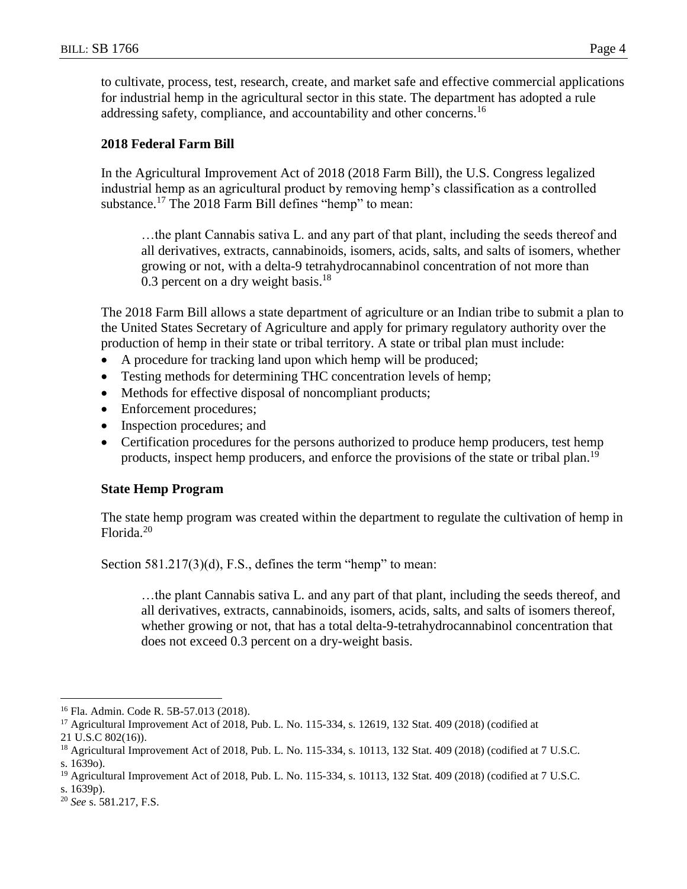to cultivate, process, test, research, create, and market safe and effective commercial applications for industrial hemp in the agricultural sector in this state. The department has adopted a rule addressing safety, compliance, and accountability and other concerns.<sup>16</sup>

### **2018 Federal Farm Bill**

In the Agricultural Improvement Act of 2018 (2018 Farm Bill), the U.S. Congress legalized industrial hemp as an agricultural product by removing hemp's classification as a controlled substance.<sup>17</sup> The 2018 Farm Bill defines "hemp" to mean:

…the plant Cannabis sativa L. and any part of that plant, including the seeds thereof and all derivatives, extracts, cannabinoids, isomers, acids, salts, and salts of isomers, whether growing or not, with a delta-9 tetrahydrocannabinol concentration of not more than 0.3 percent on a dry weight basis. $18$ 

The 2018 Farm Bill allows a state department of agriculture or an Indian tribe to submit a plan to the United States Secretary of Agriculture and apply for primary regulatory authority over the production of hemp in their state or tribal territory. A state or tribal plan must include:

- A procedure for tracking land upon which hemp will be produced;
- Testing methods for determining THC concentration levels of hemp;
- Methods for effective disposal of noncompliant products;
- Enforcement procedures;
- Inspection procedures; and
- Certification procedures for the persons authorized to produce hemp producers, test hemp products, inspect hemp producers, and enforce the provisions of the state or tribal plan.<sup>19</sup>

#### **State Hemp Program**

The state hemp program was created within the department to regulate the cultivation of hemp in Florida.<sup>20</sup>

Section 581.217(3)(d), F.S., defines the term "hemp" to mean:

…the plant Cannabis sativa L. and any part of that plant, including the seeds thereof, and all derivatives, extracts, cannabinoids, isomers, acids, salts, and salts of isomers thereof, whether growing or not, that has a total delta-9-tetrahydrocannabinol concentration that does not exceed 0.3 percent on a dry-weight basis.

 $\overline{a}$ <sup>16</sup> Fla. Admin. Code R. 5B-57.013 (2018).

<sup>17</sup> Agricultural Improvement Act of 2018, Pub. L. No. 115-334, s. 12619, 132 Stat. 409 (2018) (codified at

<sup>21</sup> U.S.C 802(16)).

<sup>18</sup> Agricultural Improvement Act of 2018, Pub. L. No. 115-334, s. 10113, 132 Stat. 409 (2018) (codified at 7 U.S.C. s. 1639o).

<sup>&</sup>lt;sup>19</sup> Agricultural Improvement Act of 2018, Pub. L. No. 115-334, s. 10113, 132 Stat. 409 (2018) (codified at 7 U.S.C. s. 1639p).

<sup>20</sup> *See* s. 581.217, F.S.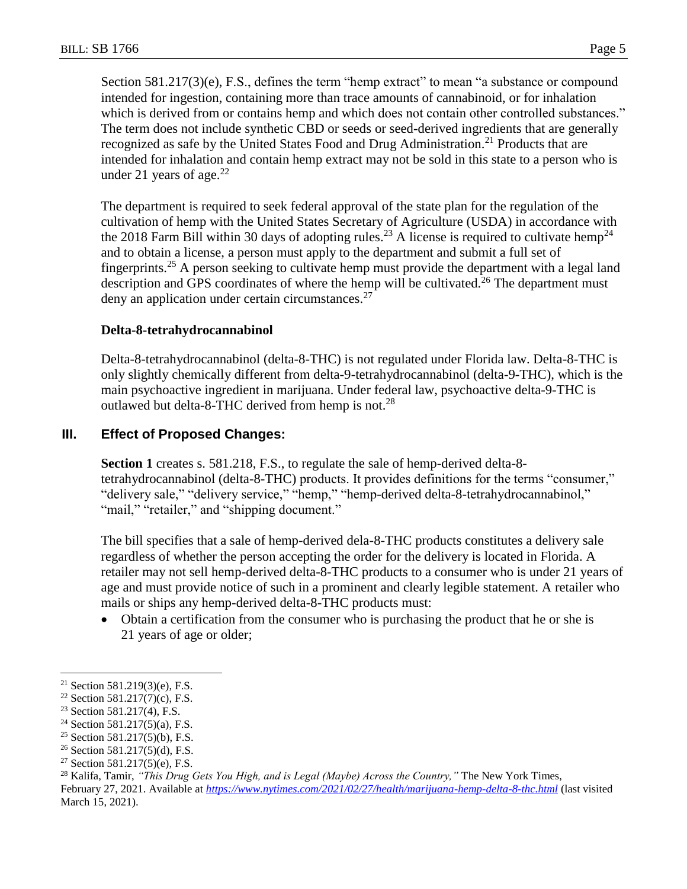Section 581.217(3)(e), F.S., defines the term "hemp extract" to mean "a substance or compound intended for ingestion, containing more than trace amounts of cannabinoid, or for inhalation which is derived from or contains hemp and which does not contain other controlled substances." The term does not include synthetic CBD or seeds or seed-derived ingredients that are generally recognized as safe by the United States Food and Drug Administration.<sup>21</sup> Products that are intended for inhalation and contain hemp extract may not be sold in this state to a person who is under 21 years of age. $^{22}$ 

The department is required to seek federal approval of the state plan for the regulation of the cultivation of hemp with the United States Secretary of Agriculture (USDA) in accordance with the 2018 Farm Bill within 30 days of adopting rules.<sup>23</sup> A license is required to cultivate hemp<sup>24</sup> and to obtain a license, a person must apply to the department and submit a full set of fingerprints.<sup>25</sup> A person seeking to cultivate hemp must provide the department with a legal land description and GPS coordinates of where the hemp will be cultivated.<sup>26</sup> The department must deny an application under certain circumstances.<sup>27</sup>

### **Delta-8-tetrahydrocannabinol**

Delta-8-tetrahydrocannabinol (delta-8-THC) is not regulated under Florida law. Delta-8-THC is only slightly chemically different from delta-9-tetrahydrocannabinol (delta-9-THC), which is the main psychoactive ingredient in marijuana. Under federal law, psychoactive delta-9-THC is outlawed but delta-8-THC derived from hemp is not.<sup>28</sup>

# **III. Effect of Proposed Changes:**

**Section 1** creates s. 581.218, F.S., to regulate the sale of hemp-derived delta-8 tetrahydrocannabinol (delta-8-THC) products. It provides definitions for the terms "consumer," "delivery sale," "delivery service," "hemp," "hemp-derived delta-8-tetrahydrocannabinol," "mail," "retailer," and "shipping document."

The bill specifies that a sale of hemp-derived dela-8-THC products constitutes a delivery sale regardless of whether the person accepting the order for the delivery is located in Florida. A retailer may not sell hemp-derived delta-8-THC products to a consumer who is under 21 years of age and must provide notice of such in a prominent and clearly legible statement. A retailer who mails or ships any hemp-derived delta-8-THC products must:

 Obtain a certification from the consumer who is purchasing the product that he or she is 21 years of age or older;

 $\overline{a}$ 

<sup>21</sup> Section 581.219(3)(e), F.S.

<sup>22</sup> Section 581.217(7)(c), F.S.

<sup>23</sup> Section 581.217(4), F.S.

<sup>&</sup>lt;sup>24</sup> Section 581.217(5)(a), F.S.

<sup>&</sup>lt;sup>25</sup> Section 581.217(5)(b), F.S.

 $26$  Section 581.217(5)(d), F.S.

<sup>&</sup>lt;sup>27</sup> Section 581.217(5)(e), F.S.

<sup>28</sup> Kalifa, Tamir, *"This Drug Gets You High, and is Legal (Maybe) Across the Country,"* The New York Times,

February 27, 2021. Available at *<https://www.nytimes.com/2021/02/27/health/marijuana-hemp-delta-8-thc.html>* (last visited March 15, 2021).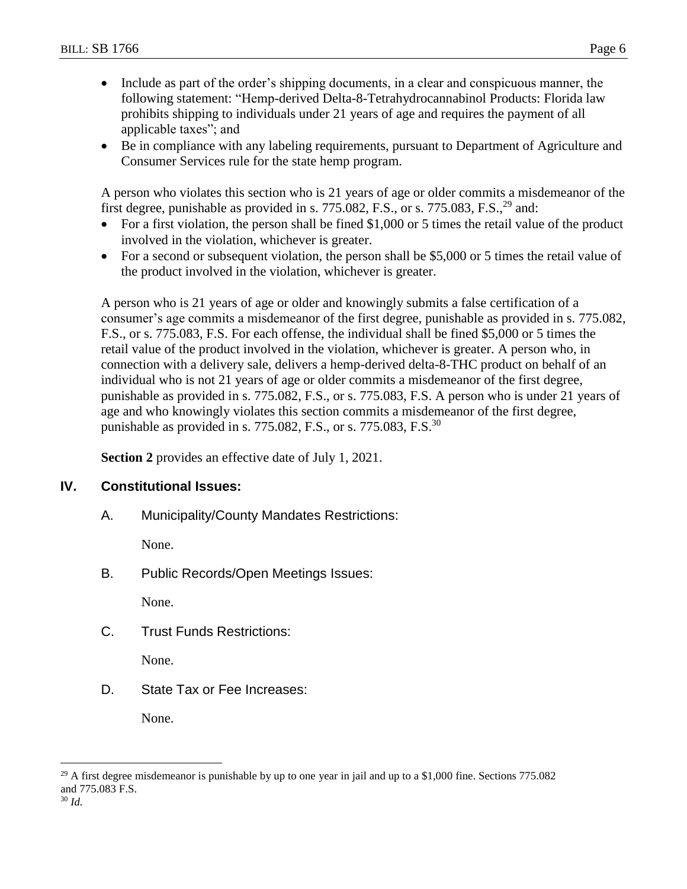- Include as part of the order's shipping documents, in a clear and conspicuous manner, the following statement: "Hemp-derived Delta-8-Tetrahydrocannabinol Products: Florida law prohibits shipping to individuals under 21 years of age and requires the payment of all applicable taxes"; and
- Be in compliance with any labeling requirements, pursuant to Department of Agriculture and Consumer Services rule for the state hemp program.

A person who violates this section who is 21 years of age or older commits a misdemeanor of the first degree, punishable as provided in s. 775.082, F.S., or s. 775.083, F.S.,  $^{29}$  and:

- For a first violation, the person shall be fined \$1,000 or 5 times the retail value of the product involved in the violation, whichever is greater.
- For a second or subsequent violation, the person shall be \$5,000 or 5 times the retail value of the product involved in the violation, whichever is greater.

A person who is 21 years of age or older and knowingly submits a false certification of a consumer's age commits a misdemeanor of the first degree, punishable as provided in s. 775.082, F.S., or s. 775.083, F.S. For each offense, the individual shall be fined \$5,000 or 5 times the retail value of the product involved in the violation, whichever is greater. A person who, in connection with a delivery sale, delivers a hemp-derived delta-8-THC product on behalf of an individual who is not 21 years of age or older commits a misdemeanor of the first degree, punishable as provided in s. 775.082, F.S., or s. 775.083, F.S. A person who is under 21 years of age and who knowingly violates this section commits a misdemeanor of the first degree, punishable as provided in s. 775.082, F.S., or s. 775.083, F.S.<sup>30</sup>

**Section 2** provides an effective date of July 1, 2021.

# **IV. Constitutional Issues:**

A. Municipality/County Mandates Restrictions:

None.

B. Public Records/Open Meetings Issues:

None.

C. Trust Funds Restrictions:

None.

D. State Tax or Fee Increases:

None.

<sup>30</sup> *Id.*

 $\overline{a}$ 

<sup>&</sup>lt;sup>29</sup> A first degree misdemeanor is punishable by up to one year in jail and up to a \$1,000 fine. Sections  $775.082$ and 775.083 F.S.